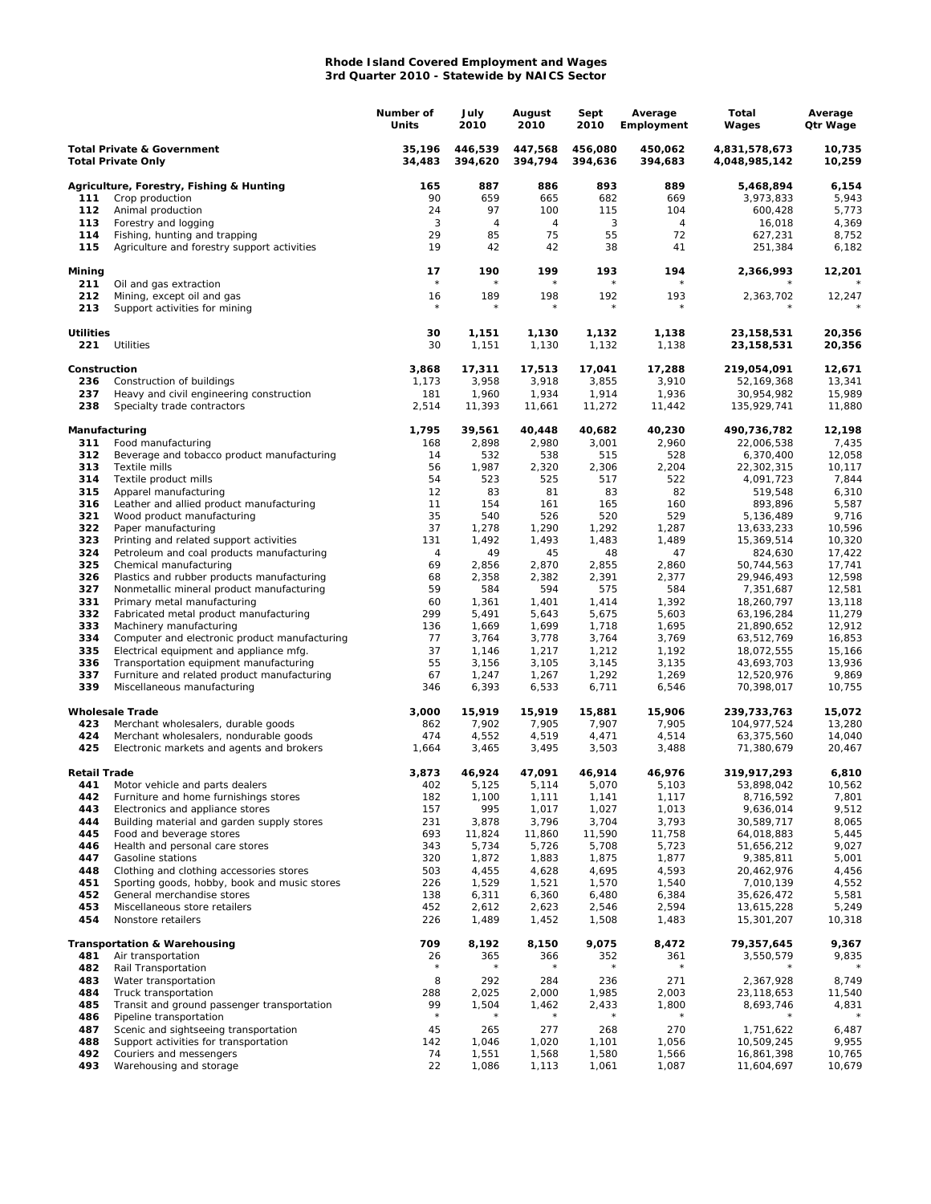## **Rhode Island Covered Employment and Wages 3rd Quarter 2010 - Statewide by NAICS Sector**

|                                                                    |                                                                                          | Number of<br>Units | July<br>2010       | August<br>2010     | Sept<br>2010       | Average<br>Employment | Total<br>Wages                 | Average<br>Qtr Wage |
|--------------------------------------------------------------------|------------------------------------------------------------------------------------------|--------------------|--------------------|--------------------|--------------------|-----------------------|--------------------------------|---------------------|
| <b>Total Private &amp; Government</b><br><b>Total Private Only</b> |                                                                                          | 35,196<br>34,483   | 446,539<br>394,620 | 447,568<br>394,794 | 456,080<br>394,636 | 450,062<br>394,683    | 4,831,578,673<br>4,048,985,142 | 10,735<br>10,259    |
|                                                                    | Agriculture, Forestry, Fishing & Hunting                                                 | 165                | 887                | 886                | 893                | 889                   | 5,468,894                      | 6,154               |
| 111                                                                | Crop production                                                                          | 90                 | 659                | 665                | 682                | 669                   | 3,973,833                      | 5,943               |
| 112                                                                | Animal production                                                                        | 24                 | 97                 | 100                | 115                | 104                   | 600,428                        | 5,773               |
| 113                                                                | Forestry and logging                                                                     | 3                  | 4                  | 4                  | 3                  | $\overline{4}$        | 16,018                         | 4,369               |
| 114<br>115                                                         | Fishing, hunting and trapping<br>Agriculture and forestry support activities             | 29<br>19           | 85<br>42           | 75<br>42           | 55<br>38           | 72<br>41              | 627,231<br>251,384             | 8,752<br>6,182      |
|                                                                    |                                                                                          |                    |                    |                    |                    |                       |                                |                     |
| Mining<br>211                                                      | Oil and gas extraction                                                                   | 17<br>$\star$      | 190                | 199                | 193<br>$\star$     | 194                   | 2,366,993                      | 12,201              |
| 212<br>213                                                         | Mining, except oil and gas<br>Support activities for mining                              | 16<br>$\star$      | 189<br>$\star$     | 198<br>$^{\star}$  | 192<br>$\star$     | 193<br>$^{\star}$     | 2,363,702                      | 12,247              |
| <b>Utilities</b><br>221                                            | Utilities                                                                                | 30<br>30           | 1,151<br>1,151     | 1,130<br>1,130     | 1,132<br>1,132     | 1,138<br>1,138        | 23,158,531<br>23, 158, 531     | 20,356<br>20,356    |
| Construction                                                       |                                                                                          | 3,868              | 17,311             | 17,513             | 17,041             | 17,288                | 219,054,091                    | 12,671              |
| 236                                                                | Construction of buildings                                                                | 1,173              | 3,958              | 3,918              | 3,855              | 3,910                 | 52,169,368                     | 13,341              |
| 237                                                                | Heavy and civil engineering construction                                                 | 181                | 1,960              | 1,934              | 1,914              | 1,936                 | 30,954,982                     | 15,989              |
| 238                                                                | Specialty trade contractors                                                              | 2,514              | 11,393             | 11,661             | 11,272             | 11,442                | 135,929,741                    | 11,880              |
| Manufacturing                                                      |                                                                                          | 1,795              | 39,561             | 40,448             | 40,682             | 40,230                | 490,736,782                    | 12,198              |
| 311<br>312                                                         | Food manufacturing<br>Beverage and tobacco product manufacturing                         | 168<br>14          | 2,898<br>532       | 2,980<br>538       | 3,001<br>515       | 2,960<br>528          | 22,006,538<br>6,370,400        | 7,435<br>12,058     |
| 313                                                                | Textile mills                                                                            | 56                 | 1,987              | 2,320              | 2,306              | 2,204                 | 22,302,315                     | 10,117              |
| 314                                                                | Textile product mills                                                                    | 54                 | 523                | 525                | 517                | 522                   | 4,091,723                      | 7,844               |
| 315                                                                | Apparel manufacturing                                                                    | 12                 | 83                 | 81                 | 83                 | 82                    | 519,548                        | 6,310               |
| 316                                                                | Leather and allied product manufacturing                                                 | 11                 | 154                | 161                | 165                | 160                   | 893,896                        | 5,587               |
| 321                                                                | Wood product manufacturing                                                               | 35                 | 540                | 526                | 520                | 529                   | 5,136,489                      | 9,716               |
| 322                                                                | Paper manufacturing                                                                      | 37                 | 1,278              | 1,290              | 1,292              | 1,287                 | 13,633,233                     | 10,596              |
| 323<br>324                                                         | Printing and related support activities                                                  | 131<br>4           | 1,492<br>49        | 1,493<br>45        | 1,483<br>48        | 1,489<br>47           | 15,369,514<br>824,630          | 10,320<br>17,422    |
| 325                                                                | Petroleum and coal products manufacturing<br>Chemical manufacturing                      | 69                 | 2,856              | 2,870              | 2,855              | 2,860                 | 50,744,563                     | 17,741              |
| 326                                                                | Plastics and rubber products manufacturing                                               | 68                 | 2,358              | 2,382              | 2,391              | 2,377                 | 29,946,493                     | 12,598              |
| 327                                                                | Nonmetallic mineral product manufacturing                                                | 59                 | 584                | 594                | 575                | 584                   | 7,351,687                      | 12,581              |
| 331                                                                | Primary metal manufacturing                                                              | 60                 | 1,361              | 1,401              | 1,414              | 1,392                 | 18,260,797                     | 13,118              |
| 332                                                                | Fabricated metal product manufacturing                                                   | 299                | 5,491              | 5,643              | 5,675              | 5,603                 | 63,196,284                     | 11,279              |
| 333                                                                | Machinery manufacturing                                                                  | 136                | 1,669              | 1,699              | 1,718              | 1,695                 | 21,890,652                     | 12,912              |
| 334<br>335                                                         | Computer and electronic product manufacturing<br>Electrical equipment and appliance mfg. | 77<br>37           | 3,764<br>1,146     | 3,778<br>1,217     | 3,764<br>1,212     | 3,769<br>1,192        | 63,512,769<br>18,072,555       | 16,853<br>15,166    |
| 336                                                                | Transportation equipment manufacturing                                                   | 55                 | 3,156              | 3,105              | 3,145              | 3,135                 | 43,693,703                     | 13,936              |
| 337                                                                | Furniture and related product manufacturing                                              | 67                 | 1,247              | 1,267              | 1,292              | 1,269                 | 12,520,976                     | 9,869               |
| 339                                                                | Miscellaneous manufacturing                                                              | 346                | 6,393              | 6,533              | 6,711              | 6,546                 | 70,398,017                     | 10,755              |
|                                                                    | <b>Wholesale Trade</b>                                                                   | 3,000              | 15,919             | 15,919             | 15,881             | 15,906                | 239,733,763                    | 15,072              |
| 423                                                                | Merchant wholesalers, durable goods                                                      | 862                | 7,902              | 7,905              | 7,907              | 7,905                 | 104,977,524                    | 13,280              |
| 424<br>425                                                         | Merchant wholesalers, nondurable goods<br>Electronic markets and agents and brokers      | 474<br>1,664       | 4,552<br>3,465     | 4,519<br>3,495     | 4,471<br>3,503     | 4,514<br>3,488        | 63,375,560<br>71,380,679       | 14,040<br>20,467    |
| Retail Trade                                                       |                                                                                          | 3,873              | 46,924             | 47,091             | 46,914             | 46,976                | 319,917,293                    | 6,810               |
| 441                                                                | Motor vehicle and parts dealers                                                          | 402                | 5,125              | 5,114              | 5,070              | 5,103                 | 53,898,042                     | 10,562              |
| 442                                                                | Furniture and home furnishings stores                                                    | 182                | 1,100              | 1,111              | 1,141              | 1,117                 | 8,716,592                      | 7,801               |
| 443                                                                | Electronics and appliance stores                                                         | 157                | 995                | 1,017              | 1,027              | 1,013                 | 9,636,014                      | 9,512               |
| 444                                                                | Building material and garden supply stores                                               | 231                | 3,878              | 3,796              | 3,704              | 3,793                 | 30,589,717                     | 8,065               |
| 445<br>446                                                         | Food and beverage stores<br>Health and personal care stores                              | 693<br>343         | 11,824<br>5,734    | 11,860<br>5,726    | 11,590<br>5,708    | 11,758<br>5,723       | 64,018,883<br>51,656,212       | 5,445<br>9,027      |
| 447                                                                | Gasoline stations                                                                        | 320                | 1,872              | 1,883              | 1,875              | 1,877                 | 9,385,811                      | 5,001               |
| 448                                                                | Clothing and clothing accessories stores                                                 | 503                | 4,455              | 4,628              | 4,695              | 4,593                 | 20,462,976                     | 4,456               |
| 451                                                                | Sporting goods, hobby, book and music stores                                             | 226                | 1,529              | 1,521              | 1,570              | 1,540                 | 7,010,139                      | 4,552               |
| 452                                                                | General merchandise stores                                                               | 138                | 6,311              | 6,360              | 6,480              | 6,384                 | 35,626,472                     | 5,581               |
| 453                                                                | Miscellaneous store retailers                                                            | 452                | 2,612              | 2,623              | 2,546              | 2,594                 | 13,615,228                     | 5,249               |
| 454                                                                | Nonstore retailers                                                                       | 226                | 1,489              | 1,452              | 1,508              | 1,483                 | 15,301,207                     | 10,318              |
| 481                                                                | <b>Transportation &amp; Warehousing</b><br>Air transportation                            | 709<br>26          | 8,192<br>365       | 8,150<br>366       | 9,075<br>352       | 8,472<br>361          | 79,357,645<br>3,550,579        | 9,367<br>9,835      |
| 482                                                                | Rail Transportation                                                                      |                    |                    |                    | $\star$            | $\star$               |                                |                     |
| 483                                                                | Water transportation                                                                     | 8                  | 292                | 284                | 236                | 271                   | 2,367,928                      | 8,749               |
| 484                                                                | Truck transportation                                                                     | 288                | 2,025              | 2,000              | 1,985              | 2,003                 | 23,118,653                     | 11,540              |
| 485                                                                | Transit and ground passenger transportation                                              | 99                 | 1,504              | 1,462              | 2,433              | 1,800                 | 8,693,746                      | 4,831               |
| 486                                                                | Pipeline transportation                                                                  | $\star$            |                    | $^{\star}$         | $\star$            |                       |                                |                     |
| 487                                                                | Scenic and sightseeing transportation                                                    | 45                 | 265                | 277                | 268                | 270                   | 1,751,622                      | 6,487               |
| 488<br>492                                                         | Support activities for transportation<br>Couriers and messengers                         | 142<br>74          | 1,046<br>1,551     | 1,020<br>1,568     | 1,101<br>1,580     | 1,056<br>1,566        | 10,509,245<br>16,861,398       | 9,955<br>10,765     |
| 493                                                                | Warehousing and storage                                                                  | 22                 | 1,086              | 1,113              | 1,061              | 1,087                 | 11,604,697                     | 10,679              |
|                                                                    |                                                                                          |                    |                    |                    |                    |                       |                                |                     |